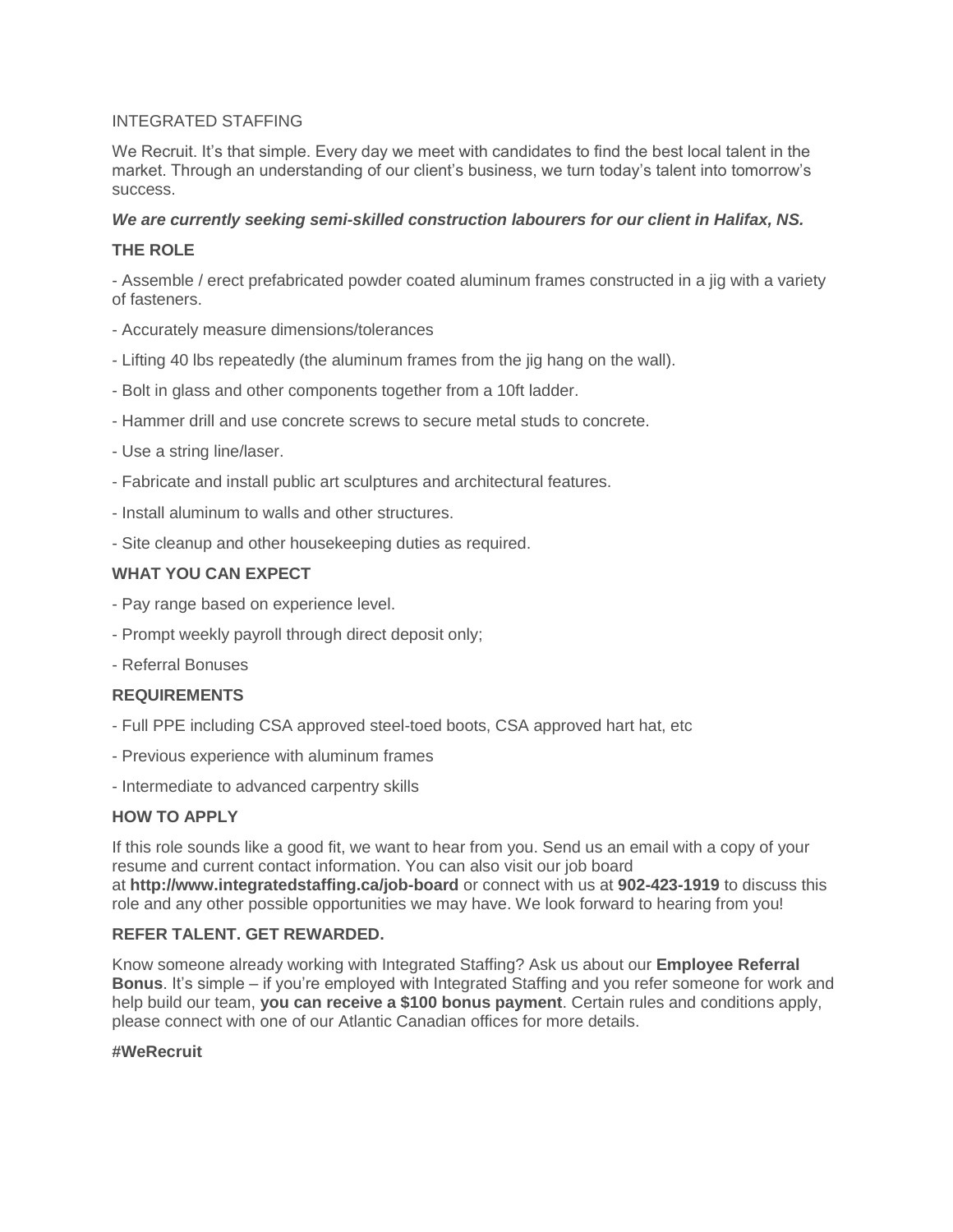#### INTEGRATED STAFFING

We Recruit. It's that simple. Every day we meet with candidates to find the best local talent in the market. Through an understanding of our client's business, we turn today's talent into tomorrow's success.

#### *We are currently seeking semi-skilled construction labourers for our client in Halifax, NS.*

### **THE ROLE**

- Assemble / erect prefabricated powder coated aluminum frames constructed in a jig with a variety of fasteners.

- Accurately measure dimensions/tolerances
- Lifting 40 lbs repeatedly (the aluminum frames from the jig hang on the wall).
- Bolt in glass and other components together from a 10ft ladder.
- Hammer drill and use concrete screws to secure metal studs to concrete.
- Use a string line/laser.
- Fabricate and install public art sculptures and architectural features.
- Install aluminum to walls and other structures.
- Site cleanup and other housekeeping duties as required.

## **WHAT YOU CAN EXPECT**

- Pay range based on experience level.
- Prompt weekly payroll through direct deposit only;
- Referral Bonuses

#### **REQUIREMENTS**

- Full PPE including CSA approved steel-toed boots, CSA approved hart hat, etc
- Previous experience with aluminum frames
- Intermediate to advanced carpentry skills

#### **HOW TO APPLY**

If this role sounds like a good fit, we want to hear from you. Send us an email with a copy of your resume and current contact information. You can also visit our job board at **http://www.integratedstaffing.ca/job-board** or connect with us at **902-423-1919** to discuss this role and any other possible opportunities we may have. We look forward to hearing from you!

#### **REFER TALENT. GET REWARDED.**

Know someone already working with Integrated Staffing? Ask us about our **Employee Referral Bonus**. It's simple – if you're employed with Integrated Staffing and you refer someone for work and help build our team, **you can receive a \$100 bonus payment**. Certain rules and conditions apply, please connect with one of our Atlantic Canadian offices for more details.

#### **#WeRecruit**